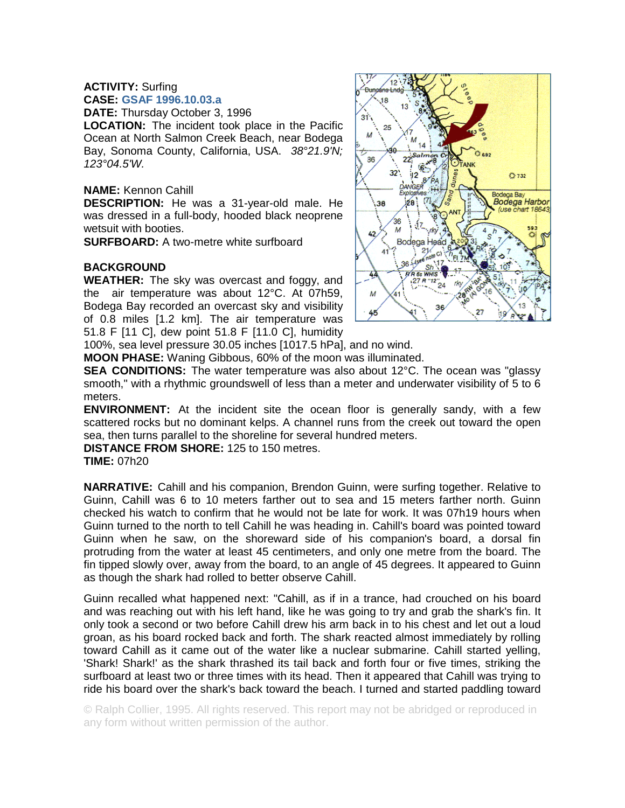## **ACTIVITY:** Surfing **CASE: GSAF 1996.10.03.a**

**DATE:** Thursday October 3, 1996

**LOCATION:** The incident took place in the Pacific Ocean at North Salmon Creek Beach, near Bodega Bay, Sonoma County, California, USA. *38°21.9'N; 123°04.5'W.* 

## **NAME:** Kennon Cahill

**DESCRIPTION:** He was a 31-year-old male. He was dressed in a full-body, hooded black neoprene wetsuit with booties.

**SURFBOARD:** A two-metre white surfboard

## **BACKGROUND**

**WEATHER:** The sky was overcast and foggy, and the air temperature was about 12°C. At 07h59, Bodega Bay recorded an overcast sky and visibility of 0.8 miles [1.2 km]. The air temperature was 51.8 F [11 C], dew point 51.8 F [11.0 C], humidity



100%, sea level pressure 30.05 inches [1017.5 hPa], and no wind.

**MOON PHASE:** Waning Gibbous, 60% of the moon was illuminated.

**SEA CONDITIONS:** The water temperature was also about 12°C. The ocean was "glassy smooth," with a rhythmic groundswell of less than a meter and underwater visibility of 5 to 6 meters.

**ENVIRONMENT:** At the incident site the ocean floor is generally sandy, with a few scattered rocks but no dominant kelps. A channel runs from the creek out toward the open sea, then turns parallel to the shoreline for several hundred meters.

**DISTANCE FROM SHORE:** 125 to 150 metres.

**TIME:** 07h20

**NARRATIVE:** Cahill and his companion, Brendon Guinn, were surfing together. Relative to Guinn, Cahill was 6 to 10 meters farther out to sea and 15 meters farther north. Guinn checked his watch to confirm that he would not be late for work. It was 07h19 hours when Guinn turned to the north to tell Cahill he was heading in. Cahill's board was pointed toward Guinn when he saw, on the shoreward side of his companion's board, a dorsal fin protruding from the water at least 45 centimeters, and only one metre from the board. The fin tipped slowly over, away from the board, to an angle of 45 degrees. It appeared to Guinn as though the shark had rolled to better observe Cahill.

Guinn recalled what happened next: "Cahill, as if in a trance, had crouched on his board and was reaching out with his left hand, like he was going to try and grab the shark's fin. It only took a second or two before Cahill drew his arm back in to his chest and let out a loud groan, as his board rocked back and forth. The shark reacted almost immediately by rolling toward Cahill as it came out of the water like a nuclear submarine. Cahill started yelling, 'Shark! Shark!' as the shark thrashed its tail back and forth four or five times, striking the surfboard at least two or three times with its head. Then it appeared that Cahill was trying to ride his board over the shark's back toward the beach. I turned and started paddling toward

© Ralph Collier, 1995. All rights reserved. This report may not be abridged or reproduced in any form without written permission of the author.